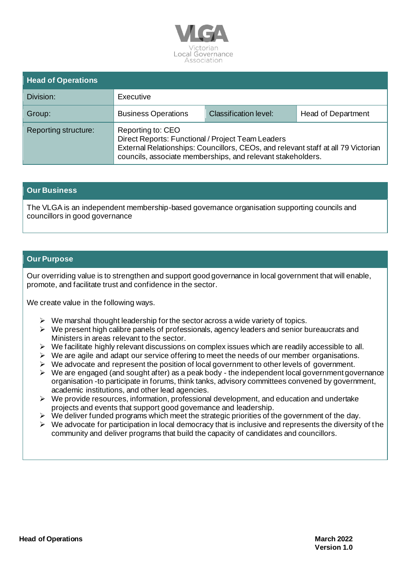

| <b>Head of Operations</b> |                                                                                                                                                                                                                            |                              |                    |
|---------------------------|----------------------------------------------------------------------------------------------------------------------------------------------------------------------------------------------------------------------------|------------------------------|--------------------|
| Division:                 | Executive                                                                                                                                                                                                                  |                              |                    |
| Group:                    | <b>Business Operations</b>                                                                                                                                                                                                 | <b>Classification level:</b> | Head of Department |
| Reporting structure:      | Reporting to: CEO<br>Direct Reports: Functional / Project Team Leaders<br>External Relationships: Councillors, CEOs, and relevant staff at all 79 Victorian<br>councils, associate memberships, and relevant stakeholders. |                              |                    |

### **Our Business**

The VLGA is an independent membership-based governance organisation supporting councils and councillors in good governance

### **Our Purpose**

Our overriding value is to strengthen and support good governance in local government that will enable, promote, and facilitate trust and confidence in the sector.

We create value in the following ways.

- $\triangleright$  We marshal thought leadership for the sector across a wide variety of topics.
- $\triangleright$  We present high calibre panels of professionals, agency leaders and senior bureaucrats and Ministers in areas relevant to the sector.
- ➢ We facilitate highly relevant discussions on complex issues which are readily accessible to all.
- $\triangleright$  We are agile and adapt our service offering to meet the needs of our member organisations.
- ➢ We advocate and represent the position of local government to other levels of government.
- $\triangleright$  We are engaged (and sought after) as a peak body the independent local government governance organisation -to participate in forums, think tanks, advisory committees convened by government, academic institutions, and other lead agencies.
- $\triangleright$  We provide resources, information, professional development, and education and undertake projects and events that support good governance and leadership.
- ➢ We deliver funded programs which meet the strategic priorities of the government of the day.
- $\triangleright$  We advocate for participation in local democracy that is inclusive and represents the diversity of the community and deliver programs that build the capacity of candidates and councillors.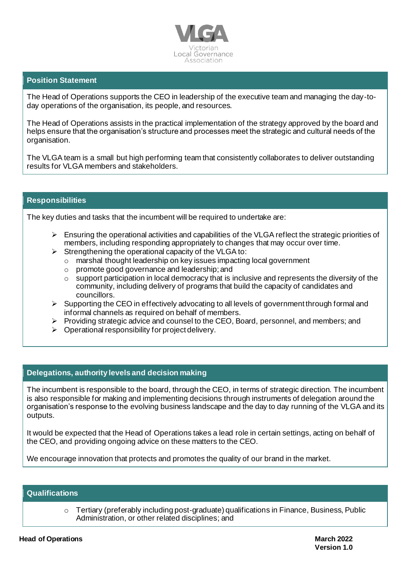

## **Position Statement**

The Head of Operations supports the CEO in leadership of the executive team and managing the day-today operations of the organisation, its people, and resources.

The Head of Operations assists in the practical implementation of the strategy approved by the board and helps ensure that the organisation's structure and processes meet the strategic and cultural needs of the organisation.

The VLGA team is a small but high performing team that consistently collaborates to deliver outstanding results for VLGA members and stakeholders.

### **Responsibilities**

The key duties and tasks that the incumbent will be required to undertake are:

- $\triangleright$  Ensuring the operational activities and capabilities of the VLGA reflect the strategic priorities of members, including responding appropriately to changes that may occur over time.
- $\triangleright$  Strengthening the operational capacity of the VLGA to:
	- o marshal thought leadership on key issues impacting local government
	- o promote good governance and leadership; and
	- $\circ$  support participation in local democracy that is inclusive and represents the diversity of the community, including delivery of programs that build the capacity of candidates and councillors.
- $\triangleright$  Supporting the CEO in effectively advocating to all levels of government through formal and informal channels as required on behalf of members.
- ➢ Providing strategic advice and counsel to the CEO, Board, personnel, and members; and
- $\triangleright$  Operational responsibility for project delivery.

### **Delegations, authority levels and decision making**

The incumbent is responsible to the board, through the CEO, in terms of strategic direction. The incumbent is also responsible for making and implementing decisions through instruments of delegation around the organisation's response to the evolving business landscape and the day to day running of the VLGA and its outputs.

It would be expected that the Head of Operations takes a lead role in certain settings, acting on behalf of the CEO, and providing ongoing advice on these matters to the CEO.

We encourage innovation that protects and promotes the quality of our brand in the market.

# **Qualifications**

 $\circ$  Tertiary (preferably including post-graduate) qualifications in Finance, Business, Public Administration, or other related disciplines; and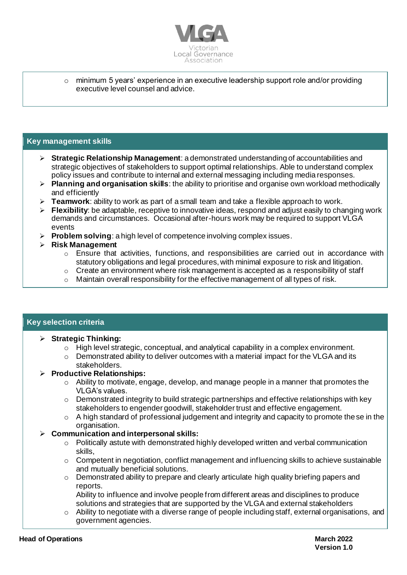

 $\circ$  minimum 5 years' experience in an executive leadership support role and/or providing executive level counsel and advice.

## **Key management skills**

- ➢ **Strategic Relationship Management**: a demonstrated understanding of accountabilities and strategic objectives of stakeholders to support optimal relationships. Able to understand complex policy issues and contribute to internal and external messaging including media responses.
- ➢ **Planning and organisation skills**: the ability to prioritise and organise own workload methodically and efficiently
- ➢ **Teamwork**: ability to work as part of a small team and take a flexible approach to work.
- ➢ **Flexibility**: be adaptable, receptive to innovative ideas, respond and adjust easily to changing work demands and circumstances. Occasional after-hours work may be required to support VLGA events
- ➢ **Problem solving**: a high level of competence involving complex issues.
- ➢ **Risk Management**
	- o Ensure that activities, functions, and responsibilities are carried out in accordance with statutory obligations and legal procedures, with minimal exposure to risk and litigation.
	- $\circ$  Create an environment where risk management is accepted as a responsibility of staff
	- $\circ$  Maintain overall responsibility for the effective management of all types of risk.

### **Key selection criteria**

### ➢ **Strategic Thinking:**

- $\circ$  High level strategic, conceptual, and analytical capability in a complex environment.
- $\circ$  Demonstrated ability to deliver outcomes with a material impact for the VLGA and its stakeholders.

### ➢ **Productive Relationships:**

- o Ability to motivate, engage, develop, and manage people in a manner that promotes the VLGA's values.
- o Demonstrated integrity to build strategic partnerships and effective relationships with key stakeholders to engender goodwill, stakeholder trust and effective engagement.
- $\circ$  A high standard of professional judgement and integrity and capacity to promote the se in the organisation.

### ➢ **Communication and interpersonal skills:**

- $\circ$  Politically astute with demonstrated highly developed written and verbal communication skills,
- $\circ$  Competent in negotiation, conflict management and influencing skills to achieve sustainable and mutually beneficial solutions.
- $\circ$  Demonstrated ability to prepare and clearly articulate high quality briefing papers and reports.

Ability to influence and involve people from different areas and disciplines to produce solutions and strategies that are supported by the VLGA and external stakeholders

 $\circ$  Ability to negotiate with a diverse range of people including staff, external organisations, and government agencies.